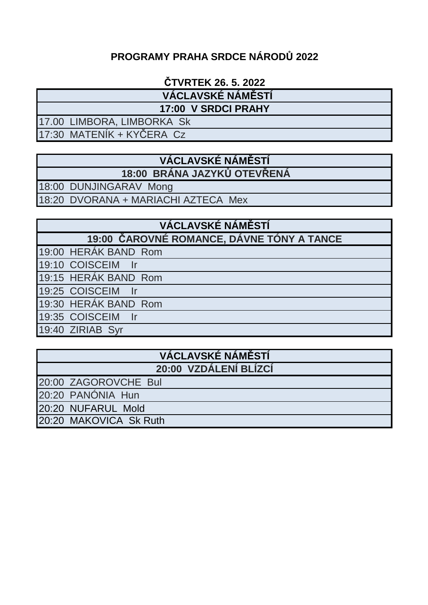# **PROGRAMY PRAHA SRDCE NÁRODŮ 2022**

## **ČTVRTEK 26. 5. 2022**

 **VÁCLAVSKÉ NÁMĚSTÍ**

**17:00 V SRDCI PRAHY**

17.00 LIMBORA, LIMBORKA Sk

17:30 MATENÍK + KYČERA Cz

#### **VÁCLAVSKÉ NÁMĚSTÍ 18:00 BRÁNA JAZYKŮ OTEVŘENÁ**

18:00 DUNJINGARAV Mong

18:20 DVORANA + MARIACHI AZTECA Mex

# **VÁCLAVSKÉ NÁMĚSTÍ**

**19:00 ČAROVNÉ ROMANCE, DÁVNE TÓNY A TANCE**

19:00 HERÁK BAND Rom

19:10 COISCEIM Ir

19:15 HERÁK BAND Rom

19:25 COISCEIM Ir

19:30 HERÁK BAND Rom

19:35 COISCEIM Ir

19:40 ZIRIAB Syr

## **VÁCLAVSKÉ NÁMĚSTÍ 20:00 VZDÁLENÍ BLÍZCÍ**

20:00 ZAGOROVCHE Bul

20:20 PANÓNIA Hun

20:20 NUFARUL Mold

20:20 MAKOVICA Sk Ruth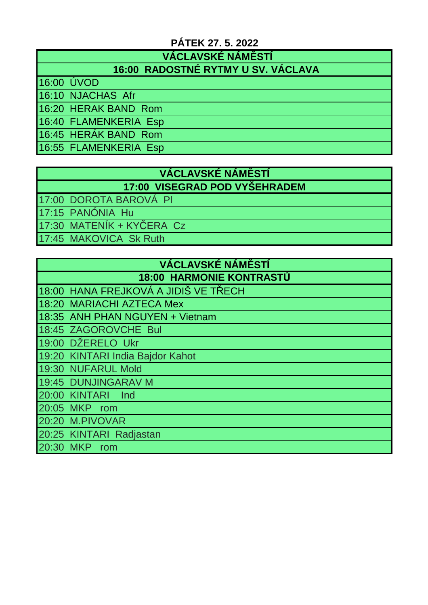## **PÁTEK 27. 5. 2022**

 **VÁCLAVSKÉ NÁMĚSTÍ**

## **16:00 RADOSTNÉ RYTMY U SV. VÁCLAVA**

16:00 ÚVOD

16:10 NJACHAS Afr

16:20 HERAK BAND Rom

16:40 FLAMENKERIA Esp

16:45 HERÁK BAND Rom

16:55 FLAMENKERIA Esp

#### **VÁCLAVSKÉ NÁMĚSTÍ 17:00 VISEGRAD POD VYŠEHRADEM**

17:00 DOROTA BAROVÁ Pl

17:15 PANÓNIA Hu

17:30 MATENÍK + KYČERA Cz

17:45 MAKOVICA Sk Ruth

| <b>VÁCLAVSKÉ NÁMĚSTÍ</b>        |                                      |  |
|---------------------------------|--------------------------------------|--|
| <b>18:00 HARMONIE KONTRASTŮ</b> |                                      |  |
|                                 | 18:00 HANA FREJKOVÁ A JIDIŠ VE TŘECH |  |
|                                 | 18:20 MARIACHI AZTECA Mex            |  |
|                                 | 18:35 ANH PHAN NGUYEN + Vietnam      |  |
|                                 | 18:45 ZAGOROVCHE Bul                 |  |
|                                 | 19:00 DŽERELO Ukr                    |  |
|                                 | 19:20 KINTARI India Bajdor Kahot     |  |
|                                 | 19:30 NUFARUL Mold                   |  |
|                                 | 19:45 DUNJINGARAV M                  |  |
|                                 | 20:00 KINTARI<br><b>Ind</b>          |  |
| 20:05 MKP                       | rom                                  |  |
|                                 | 20:20 M.PIVOVAR                      |  |
|                                 | 20:25 KINTARI Radjastan              |  |
| 20:30                           | <b>MKP</b><br>rom                    |  |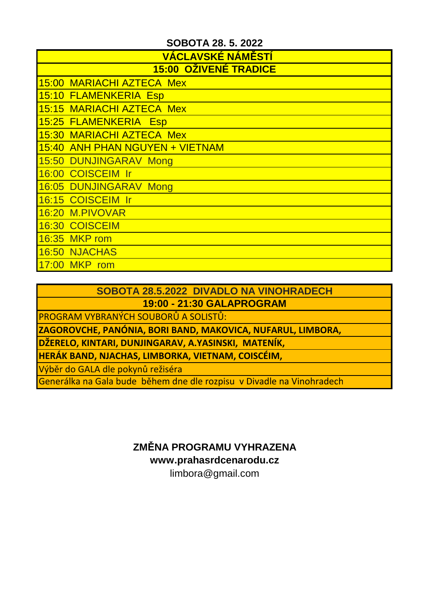| <b>VACLAVSKÉ NÁMĚSTÍ</b>     |                                 |  |
|------------------------------|---------------------------------|--|
| <b>15:00 OŽIVENÉ TRADICE</b> |                                 |  |
|                              | 15:00 MARIACHI AZTECA Mex       |  |
|                              | 15:10 FLAMENKERIA Esp           |  |
|                              | 15:15 MARIACHI AZTECA Mex       |  |
|                              | 15:25 FLAMENKERIA Esp           |  |
|                              | 15:30 MARIACHI AZTECA Mex       |  |
|                              | 15:40 ANH PHAN NGUYEN + VIETNAM |  |
|                              | 15:50 DUNJINGARAV Mong          |  |
|                              | 16:00 COISCEIM Ir               |  |
|                              | 16:05 DUNJINGARAV Mong          |  |
|                              | 16:15 COISCEIM Ir               |  |
|                              | 16:20 M.PIVOVAR                 |  |
|                              | 16:30 COISCEIM                  |  |
|                              | 16:35 MKP rom                   |  |
|                              | 16:50 NJACHAS                   |  |
| 17:00 MKP                    | rom                             |  |

**SOBOTA 28.5.2022 DIVADLO NA VINOHRADECH 19:00 - 21:30 GALAPROGRAM** 

PROGRAM VYBRANÝCH SOUBORŮ A SOLISTŮ:

**ZAGOROVCHE, PANÓNIA, BORI BAND, MAKOVICA, NUFARUL, LIMBORA,** 

**DŽERELO, KINTARI, DUNJINGARAV, A.YASINSKI, MATENÍK,**

**HERÁK BAND, NJACHAS, LIMBORKA, VIETNAM, COISCÉIM,**

Výběr do GALA dle pokynů režiséra

Generálka na Gala bude během dne dle rozpisu v Divadle na Vinohradech

**ZMĚNA PROGRAMU VYHRAZENA**

**www.prahasrdcenarodu.cz**

limbora@gmail.com